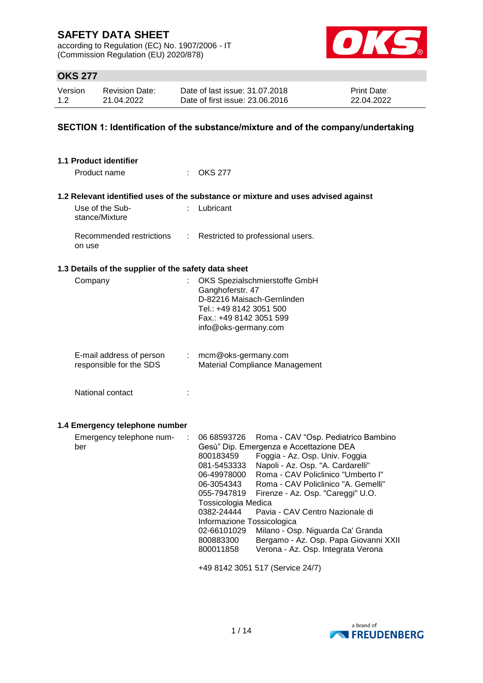according to Regulation (EC) No. 1907/2006 - IT (Commission Regulation (EU) 2020/878)



## **OKS 277**

| Version | <b>Revision Date:</b> | Date of last issue: 31.07.2018  | <b>Print Date:</b> |
|---------|-----------------------|---------------------------------|--------------------|
| 1.2     | 21.04.2022            | Date of first issue: 23,06,2016 | 22.04.2022         |

### **SECTION 1: Identification of the substance/mixture and of the company/undertaking**

| 1.1 Product identifier                               |    |                                                                                                                                                                                                                                                                                                                                                                                                                                                                                                                                                                                                                                                                       |
|------------------------------------------------------|----|-----------------------------------------------------------------------------------------------------------------------------------------------------------------------------------------------------------------------------------------------------------------------------------------------------------------------------------------------------------------------------------------------------------------------------------------------------------------------------------------------------------------------------------------------------------------------------------------------------------------------------------------------------------------------|
| Product name                                         |    | $:$ OKS 277                                                                                                                                                                                                                                                                                                                                                                                                                                                                                                                                                                                                                                                           |
|                                                      |    | 1.2 Relevant identified uses of the substance or mixture and uses advised against                                                                                                                                                                                                                                                                                                                                                                                                                                                                                                                                                                                     |
| Use of the Sub-<br>stance/Mixture                    |    | Lubricant                                                                                                                                                                                                                                                                                                                                                                                                                                                                                                                                                                                                                                                             |
| Recommended restrictions<br>on use                   | t. | Restricted to professional users.                                                                                                                                                                                                                                                                                                                                                                                                                                                                                                                                                                                                                                     |
| 1.3 Details of the supplier of the safety data sheet |    |                                                                                                                                                                                                                                                                                                                                                                                                                                                                                                                                                                                                                                                                       |
| Company                                              |    | OKS Spezialschmierstoffe GmbH<br>Ganghoferstr. 47<br>D-82216 Maisach-Gernlinden<br>Tel.: +49 8142 3051 500<br>Fax.: +49 8142 3051 599<br>info@oks-germany.com                                                                                                                                                                                                                                                                                                                                                                                                                                                                                                         |
| E-mail address of person<br>responsible for the SDS  |    | $:$ mcm@oks-germany.com<br>Material Compliance Management                                                                                                                                                                                                                                                                                                                                                                                                                                                                                                                                                                                                             |
| National contact                                     |    |                                                                                                                                                                                                                                                                                                                                                                                                                                                                                                                                                                                                                                                                       |
| 1.4 Emergency telephone number                       |    |                                                                                                                                                                                                                                                                                                                                                                                                                                                                                                                                                                                                                                                                       |
| Emergency telephone num-<br>ber                      |    | Roma - CAV "Osp. Pediatrico Bambino<br>06 68593726<br>Gesù" Dip. Emergenza e Accettazione DEA<br>Foggia - Az. Osp. Univ. Foggia<br>800183459<br>Napoli - Az. Osp. "A. Cardarelli"<br>081-5453333<br>Roma - CAV Policlinico "Umberto I"<br>06-49978000<br>Roma - CAV Policlinico "A. Gemelli"<br>06-3054343<br>055-7947819<br>Firenze - Az. Osp. "Careggi" U.O.<br>Tossicologia Medica<br>Pavia - CAV Centro Nazionale di<br>0382-24444<br>Informazione Tossicologica<br>02-66101029<br>Milano - Osp. Niguarda Ca' Granda<br>800883300<br>Bergamo - Az. Osp. Papa Giovanni XXII<br>800011858<br>Verona - Az. Osp. Integrata Verona<br>+49 8142 3051 517 (Service 24/7) |
|                                                      |    |                                                                                                                                                                                                                                                                                                                                                                                                                                                                                                                                                                                                                                                                       |

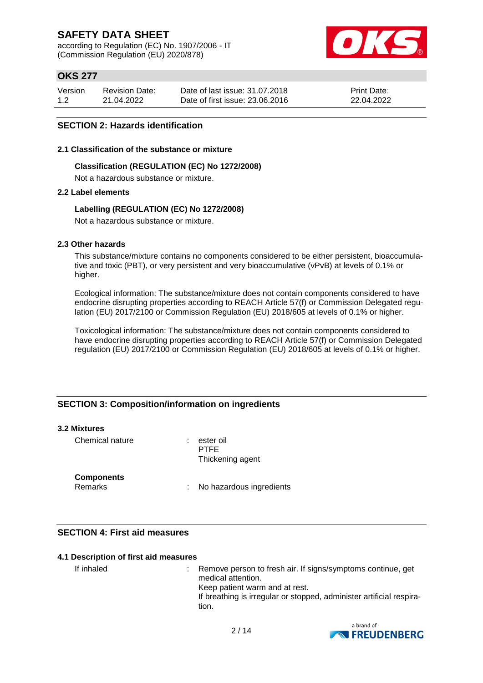according to Regulation (EC) No. 1907/2006 - IT (Commission Regulation (EU) 2020/878)



## **OKS 277**

| Version | <b>Revision Date:</b> | Date of last issue: 31.07.2018  | <b>Print Date:</b> |
|---------|-----------------------|---------------------------------|--------------------|
| 1.2     | 21.04.2022            | Date of first issue: 23,06,2016 | 22.04.2022         |

### **SECTION 2: Hazards identification**

#### **2.1 Classification of the substance or mixture**

#### **Classification (REGULATION (EC) No 1272/2008)**

Not a hazardous substance or mixture.

### **2.2 Label elements**

### **Labelling (REGULATION (EC) No 1272/2008)**

Not a hazardous substance or mixture.

### **2.3 Other hazards**

This substance/mixture contains no components considered to be either persistent, bioaccumulative and toxic (PBT), or very persistent and very bioaccumulative (vPvB) at levels of 0.1% or higher.

Ecological information: The substance/mixture does not contain components considered to have endocrine disrupting properties according to REACH Article 57(f) or Commission Delegated regulation (EU) 2017/2100 or Commission Regulation (EU) 2018/605 at levels of 0.1% or higher.

Toxicological information: The substance/mixture does not contain components considered to have endocrine disrupting properties according to REACH Article 57(f) or Commission Delegated regulation (EU) 2017/2100 or Commission Regulation (EU) 2018/605 at levels of 0.1% or higher.

### **SECTION 3: Composition/information on ingredients**

#### **3.2 Mixtures**

Chemical nature : ester oil

PTFE Thickening agent

### **Components**

Remarks : No hazardous ingredients

### **SECTION 4: First aid measures**

#### **4.1 Description of first aid measures**

If inhaled : Remove person to fresh air. If signs/symptoms continue, get medical attention. Keep patient warm and at rest. If breathing is irregular or stopped, administer artificial respiration.

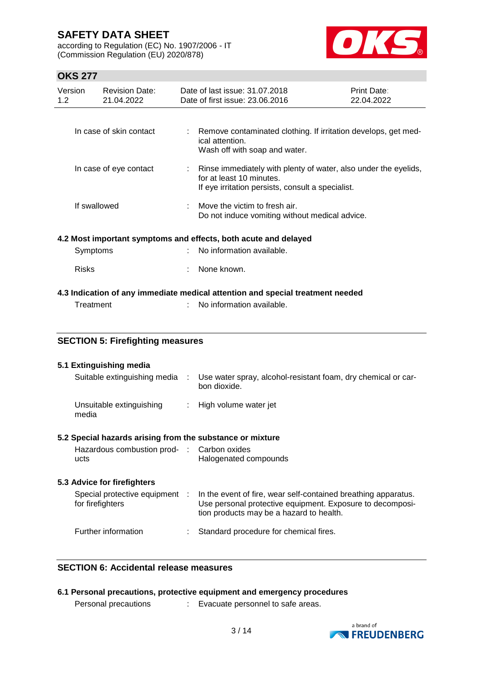according to Regulation (EC) No. 1907/2006 - IT (Commission Regulation (EU) 2020/878)



# **OKS 277**

| UNJ 477        |                                                                 |                                     |           |                                                                                                                                                  |                           |
|----------------|-----------------------------------------------------------------|-------------------------------------|-----------|--------------------------------------------------------------------------------------------------------------------------------------------------|---------------------------|
| Version<br>1.2 |                                                                 | <b>Revision Date:</b><br>21.04.2022 |           | Date of last issue: 31.07.2018<br>Date of first issue: 23.06.2016                                                                                | Print Date:<br>22.04.2022 |
|                |                                                                 |                                     |           |                                                                                                                                                  |                           |
|                |                                                                 | In case of skin contact             |           | Remove contaminated clothing. If irritation develops, get med-<br>ical attention.<br>Wash off with soap and water.                               |                           |
|                |                                                                 | In case of eye contact              |           | Rinse immediately with plenty of water, also under the eyelids,<br>for at least 10 minutes.<br>If eye irritation persists, consult a specialist. |                           |
|                | If swallowed                                                    |                                     |           | Move the victim to fresh air.<br>Do not induce vomiting without medical advice.                                                                  |                           |
|                | 4.2 Most important symptoms and effects, both acute and delayed |                                     |           |                                                                                                                                                  |                           |
|                | Symptoms                                                        |                                     |           | No information available.                                                                                                                        |                           |
|                | <b>Risks</b>                                                    |                                     |           | None known.                                                                                                                                      |                           |
|                |                                                                 |                                     |           | 4.3 Indication of any immediate medical attention and special treatment needed                                                                   |                           |
|                | Treatment                                                       |                                     |           | No information available.                                                                                                                        |                           |
|                |                                                                 |                                     |           |                                                                                                                                                  |                           |
|                | <b>SECTION 5: Firefighting measures</b>                         |                                     |           |                                                                                                                                                  |                           |
|                |                                                                 | 5.1 Extinguishing media             |           |                                                                                                                                                  |                           |
|                |                                                                 | Suitable extinguishing media        | $\sim$ 1. | Use water spray, alcohol-resistant foam, dry chemical or car-<br>bon dioxide.                                                                    |                           |
|                | media                                                           | Unsuitable extinguishing            |           | High volume water jet                                                                                                                            |                           |

### **5.2 Special hazards arising from the substance or mixture**

| Hazardous combustion prod- : Carbon oxides |                       |
|--------------------------------------------|-----------------------|
| ucts                                       | Halogenated compounds |

### **5.3 Advice for firefighters**

| Special protective equipment<br>for firefighters | In the event of fire, wear self-contained breathing apparatus.<br>Use personal protective equipment. Exposure to decomposi-<br>tion products may be a hazard to health. |
|--------------------------------------------------|-------------------------------------------------------------------------------------------------------------------------------------------------------------------------|
| Further information                              | : Standard procedure for chemical fires.                                                                                                                                |

### **SECTION 6: Accidental release measures**

|                      | 6.1 Personal precautions, protective equipment and emergency procedures |
|----------------------|-------------------------------------------------------------------------|
| Personal precautions | Evacuate personnel to safe areas.                                       |

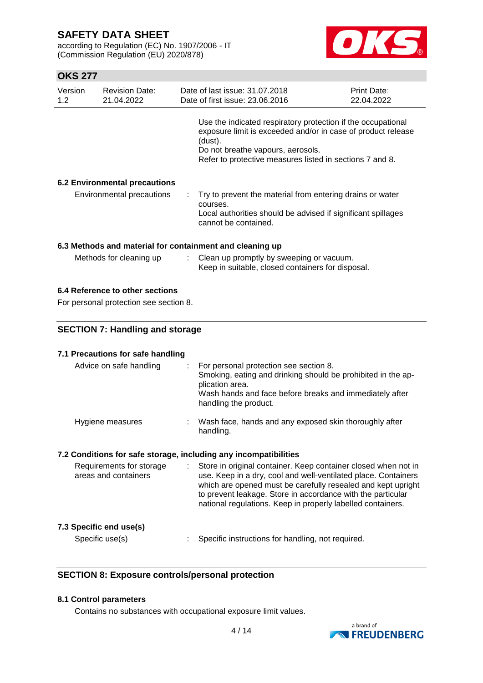according to Regulation (EC) No. 1907/2006 - IT (Commission Regulation (EU) 2020/878)



## **OKS 277**

| Version<br>1.2 | <b>Revision Date:</b><br>21.04.2022 | Date of last issue: 31.07.2018<br>Date of first issue: 23.06.2016                                                                                                                                                                        | Print Date:<br>22.04.2022 |
|----------------|-------------------------------------|------------------------------------------------------------------------------------------------------------------------------------------------------------------------------------------------------------------------------------------|---------------------------|
|                |                                     | Use the indicated respiratory protection if the occupational<br>exposure limit is exceeded and/or in case of product release<br>(dust).<br>Do not breathe vapours, aerosols.<br>Refer to protective measures listed in sections 7 and 8. |                           |
|                | 6.2 Environmental precautions       |                                                                                                                                                                                                                                          |                           |
|                | Environmental precautions           | Try to prevent the material from entering drains or water<br>courses.<br>Local authorities should be advised if significant spillages<br>cannot be contained.                                                                            |                           |
|                |                                     | 6.3 Methods and material for containment and cleaning up                                                                                                                                                                                 |                           |
|                | Methods for cleaning up             | : Clean up promptly by sweeping or vacuum.<br>Keep in suitable, closed containers for disposal.                                                                                                                                          |                           |

# **6.4 Reference to other sections**

For personal protection see section 8.

## **SECTION 7: Handling and storage**

### **7.1 Precautions for safe handling**

| Advice on safe handling                                          | For personal protection see section 8.<br>Smoking, eating and drinking should be prohibited in the ap-<br>plication area.<br>Wash hands and face before breaks and immediately after<br>handling the product.                                                   |
|------------------------------------------------------------------|-----------------------------------------------------------------------------------------------------------------------------------------------------------------------------------------------------------------------------------------------------------------|
| Hygiene measures                                                 | Wash face, hands and any exposed skin thoroughly after<br>handling.                                                                                                                                                                                             |
| 7.2 Conditions for safe storage, including any incompatibilities |                                                                                                                                                                                                                                                                 |
| Requirements for storage<br>areas and containers                 | Store in original container. Keep container closed when not in<br>use. Keep in a dry, cool and well-ventilated place. Containers<br>which are opened must be carefully resealed and kept upright<br>to prevent leakage. Store in accordance with the particular |

### **7.3 Specific end use(s)**

Specific use(s) : Specific instructions for handling, not required.

national regulations. Keep in properly labelled containers.

### **SECTION 8: Exposure controls/personal protection**

#### **8.1 Control parameters**

Contains no substances with occupational exposure limit values.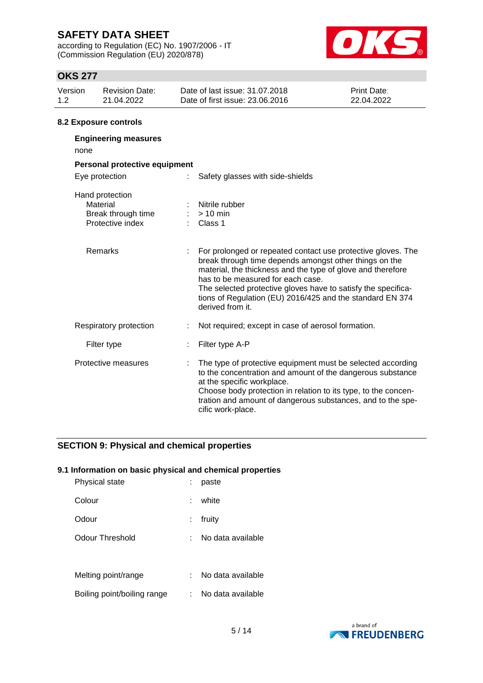according to Regulation (EC) No. 1907/2006 - IT (Commission Regulation (EU) 2020/878)



## **OKS 277**

| Version<br>1.2 | <b>Revision Date:</b><br>21.04.2022                                   | Date of last issue: 31.07.2018<br>Date of first issue: 23,06,2016                                                                                                                                                                                                                                                                                                              | Print Date:<br>22.04.2022 |
|----------------|-----------------------------------------------------------------------|--------------------------------------------------------------------------------------------------------------------------------------------------------------------------------------------------------------------------------------------------------------------------------------------------------------------------------------------------------------------------------|---------------------------|
|                | 8.2 Exposure controls                                                 |                                                                                                                                                                                                                                                                                                                                                                                |                           |
| none           | <b>Engineering measures</b>                                           |                                                                                                                                                                                                                                                                                                                                                                                |                           |
|                | Personal protective equipment                                         |                                                                                                                                                                                                                                                                                                                                                                                |                           |
|                | Eye protection                                                        | Safety glasses with side-shields                                                                                                                                                                                                                                                                                                                                               |                           |
|                | Hand protection<br>Material<br>Break through time<br>Protective index | Nitrile rubber<br>$:$ > 10 min<br>: Class 1                                                                                                                                                                                                                                                                                                                                    |                           |
|                | <b>Remarks</b>                                                        | : For prolonged or repeated contact use protective gloves. The<br>break through time depends amongst other things on the<br>material, the thickness and the type of glove and therefore<br>has to be measured for each case.<br>The selected protective gloves have to satisfy the specifica-<br>tions of Regulation (EU) 2016/425 and the standard EN 374<br>derived from it. |                           |

| Filter type | $\therefore$ Filter type A-P |
|-------------|------------------------------|

Respiratory protection : Not required; except in case of aerosol formation.

| Protective measures |  | : The type of protective equipment must be selected according<br>to the concentration and amount of the dangerous substance<br>at the specific workplace.<br>Choose body protection in relation to its type, to the concen-<br>tration and amount of dangerous substances, and to the spe-<br>cific work-place. |
|---------------------|--|-----------------------------------------------------------------------------------------------------------------------------------------------------------------------------------------------------------------------------------------------------------------------------------------------------------------|
|---------------------|--|-----------------------------------------------------------------------------------------------------------------------------------------------------------------------------------------------------------------------------------------------------------------------------------------------------------------|

### **SECTION 9: Physical and chemical properties**

### **9.1 Information on basic physical and chemical properties**

| Physical state              | paste             |
|-----------------------------|-------------------|
| Colour                      | white             |
| Odour                       | fruity            |
| Odour Threshold             | No data available |
| Melting point/range         | No data available |
| Boiling point/boiling range | No data available |

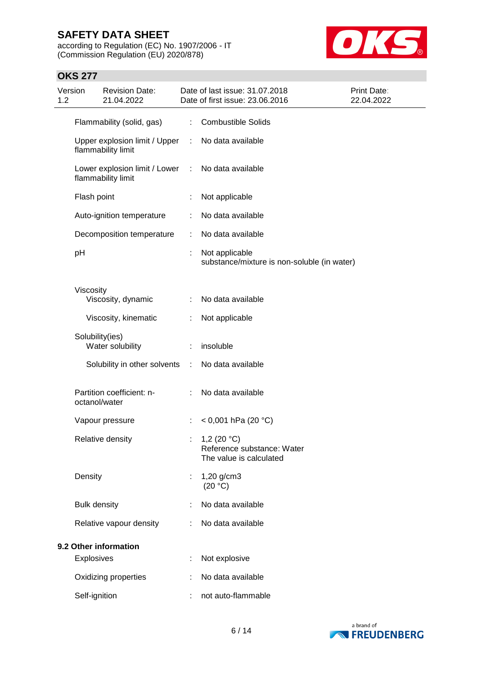according to Regulation (EC) No. 1907/2006 - IT (Commission Regulation (EU) 2020/878)



## **OKS 277**

| Version<br>1.2 |                     | <b>Revision Date:</b><br>21.04.2022                                     |    | Date of last issue: 31.07.2018<br>Date of first issue: 23.06.2016      | Print Date:<br>22.04.2022 |
|----------------|---------------------|-------------------------------------------------------------------------|----|------------------------------------------------------------------------|---------------------------|
|                |                     | Flammability (solid, gas)                                               |    | : Combustible Solids                                                   |                           |
|                |                     | Upper explosion limit / Upper : No data available<br>flammability limit |    |                                                                        |                           |
|                |                     | Lower explosion limit / Lower : No data available<br>flammability limit |    |                                                                        |                           |
|                | Flash point         |                                                                         |    | Not applicable                                                         |                           |
|                |                     | Auto-ignition temperature                                               |    | No data available                                                      |                           |
|                |                     | Decomposition temperature                                               | ÷  | No data available                                                      |                           |
|                | pH                  |                                                                         | t  | Not applicable<br>substance/mixture is non-soluble (in water)          |                           |
|                | Viscosity           |                                                                         |    |                                                                        |                           |
|                |                     | Viscosity, dynamic                                                      |    | No data available                                                      |                           |
|                |                     | Viscosity, kinematic                                                    | ÷  | Not applicable                                                         |                           |
|                | Solubility(ies)     | Water solubility                                                        | t. | insoluble                                                              |                           |
|                |                     | Solubility in other solvents :                                          |    | No data available                                                      |                           |
|                | octanol/water       | Partition coefficient: n-                                               |    | No data available                                                      |                           |
|                |                     | Vapour pressure                                                         |    | < 0,001 hPa (20 °C)                                                    |                           |
|                |                     | Relative density                                                        |    | 1,2 $(20 °C)$<br>Reference substance: Water<br>The value is calculated |                           |
|                | Density             |                                                                         |    | $1,20$ g/cm3<br>(20 °C)                                                |                           |
|                | <b>Bulk density</b> |                                                                         |    | No data available                                                      |                           |
|                |                     | Relative vapour density                                                 |    | No data available                                                      |                           |
|                |                     | 9.2 Other information                                                   |    |                                                                        |                           |
|                | <b>Explosives</b>   |                                                                         |    | Not explosive                                                          |                           |
|                |                     | Oxidizing properties                                                    |    | No data available                                                      |                           |
|                | Self-ignition       |                                                                         |    | not auto-flammable                                                     |                           |

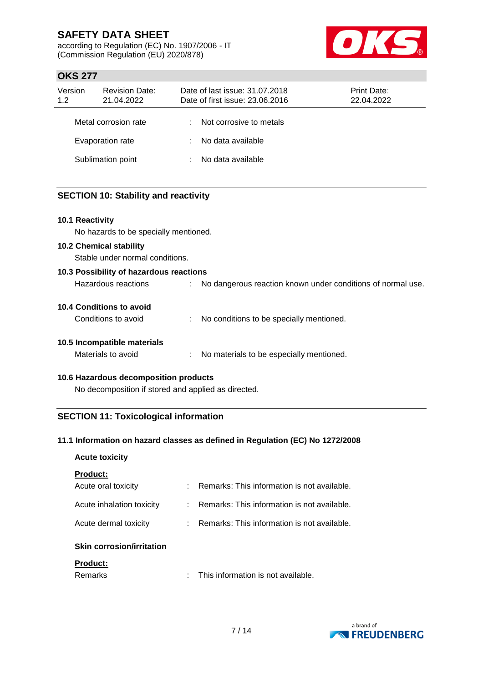according to Regulation (EC) No. 1907/2006 - IT (Commission Regulation (EU) 2020/878)



## **OKS 277**

| Version<br>1.2 | <b>Revision Date:</b><br>21.04.2022 | Date of last issue: 31.07.2018<br><b>Print Date:</b><br>Date of first issue: 23.06.2016<br>22.04.2022 |                         |  |  |
|----------------|-------------------------------------|-------------------------------------------------------------------------------------------------------|-------------------------|--|--|
|                | Metal corrosion rate                |                                                                                                       | Not corrosive to metals |  |  |
|                | Evaporation rate                    |                                                                                                       | No data available       |  |  |
|                | Sublimation point                   |                                                                                                       | No data available       |  |  |

### **SECTION 10: Stability and reactivity**

### **10.1 Reactivity**

No hazards to be specially mentioned.

### **10.2 Chemical stability**

Stable under normal conditions.

| 10.3 Possibility of hazardous reactions |    |                                                             |
|-----------------------------------------|----|-------------------------------------------------------------|
| Hazardous reactions                     | ÷. | No dangerous reaction known under conditions of normal use. |
| 10.4 Conditions to avoid                |    |                                                             |
| Conditions to avoid                     |    | No conditions to be specially mentioned.                    |
| 10.5 Incompatible materials             |    |                                                             |
| Materials to avoid                      |    | No materials to be especially mentioned.                    |

#### **10.6 Hazardous decomposition products**

No decomposition if stored and applied as directed.

### **SECTION 11: Toxicological information**

### **11.1 Information on hazard classes as defined in Regulation (EC) No 1272/2008**

### **Acute toxicity**

|  |  | <b>Product:</b> |  |  |  |  |  |
|--|--|-----------------|--|--|--|--|--|
|--|--|-----------------|--|--|--|--|--|

| Oldin, a anna a bain Bunttattan. |                                               |
|----------------------------------|-----------------------------------------------|
| Acute dermal toxicity            | : Remarks: This information is not available. |
| Acute inhalation toxicity        | : Remarks: This information is not available. |
| Acute oral toxicity              | Remarks: This information is not available.   |

## **Skin corrosion/irritation**

## **Product:**

| Remarks | This information is not available. |
|---------|------------------------------------|
|         |                                    |

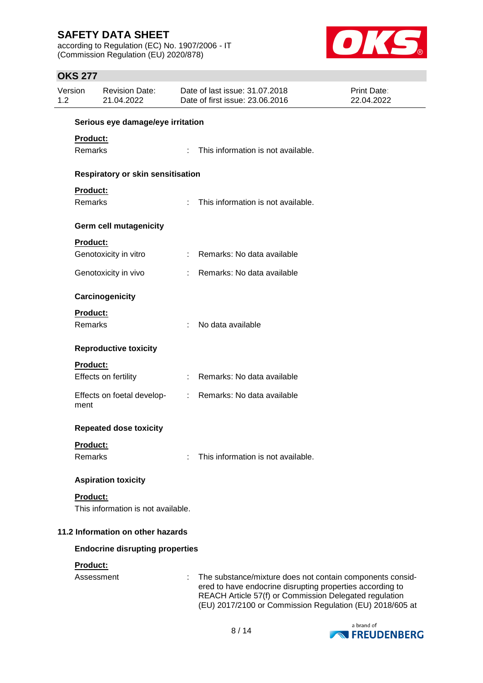according to Regulation (EC) No. 1907/2006 - IT (Commission Regulation (EU) 2020/878)



## **OKS 277**

| Version<br>1.2 |                                    | <b>Revision Date:</b><br>21.04.2022      | Date of last issue: 31,07,2018<br><b>Print Date:</b><br>Date of first issue: 23.06.2016<br>22.04.2022 |                                                                                                                                                                                                                                              |  |  |
|----------------|------------------------------------|------------------------------------------|-------------------------------------------------------------------------------------------------------|----------------------------------------------------------------------------------------------------------------------------------------------------------------------------------------------------------------------------------------------|--|--|
|                |                                    | Serious eye damage/eye irritation        |                                                                                                       |                                                                                                                                                                                                                                              |  |  |
|                | <b>Product:</b>                    |                                          |                                                                                                       |                                                                                                                                                                                                                                              |  |  |
|                | Remarks                            |                                          | ÷                                                                                                     | This information is not available.                                                                                                                                                                                                           |  |  |
|                |                                    | <b>Respiratory or skin sensitisation</b> |                                                                                                       |                                                                                                                                                                                                                                              |  |  |
|                | Product:                           |                                          |                                                                                                       |                                                                                                                                                                                                                                              |  |  |
|                | Remarks                            |                                          | ÷.                                                                                                    | This information is not available.                                                                                                                                                                                                           |  |  |
|                |                                    | <b>Germ cell mutagenicity</b>            |                                                                                                       |                                                                                                                                                                                                                                              |  |  |
|                | Product:                           |                                          |                                                                                                       |                                                                                                                                                                                                                                              |  |  |
|                |                                    | Genotoxicity in vitro                    |                                                                                                       | : Remarks: No data available                                                                                                                                                                                                                 |  |  |
|                |                                    | Genotoxicity in vivo                     |                                                                                                       | : Remarks: No data available                                                                                                                                                                                                                 |  |  |
|                |                                    | Carcinogenicity                          |                                                                                                       |                                                                                                                                                                                                                                              |  |  |
|                | <b>Product:</b>                    |                                          |                                                                                                       |                                                                                                                                                                                                                                              |  |  |
|                | Remarks                            |                                          |                                                                                                       | No data available                                                                                                                                                                                                                            |  |  |
|                |                                    | <b>Reproductive toxicity</b>             |                                                                                                       |                                                                                                                                                                                                                                              |  |  |
|                | Product:                           |                                          |                                                                                                       |                                                                                                                                                                                                                                              |  |  |
|                |                                    | Effects on fertility                     |                                                                                                       | : Remarks: No data available                                                                                                                                                                                                                 |  |  |
|                | ment                               | Effects on foetal develop-               |                                                                                                       | : Remarks: No data available                                                                                                                                                                                                                 |  |  |
|                |                                    | <b>Repeated dose toxicity</b>            |                                                                                                       |                                                                                                                                                                                                                                              |  |  |
|                | Product:                           |                                          |                                                                                                       |                                                                                                                                                                                                                                              |  |  |
|                | Remarks                            |                                          |                                                                                                       | This information is not available.                                                                                                                                                                                                           |  |  |
|                |                                    | <b>Aspiration toxicity</b>               |                                                                                                       |                                                                                                                                                                                                                                              |  |  |
|                | <b>Product:</b>                    |                                          |                                                                                                       |                                                                                                                                                                                                                                              |  |  |
|                | This information is not available. |                                          |                                                                                                       |                                                                                                                                                                                                                                              |  |  |
|                |                                    | 11.2 Information on other hazards        |                                                                                                       |                                                                                                                                                                                                                                              |  |  |
|                |                                    | <b>Endocrine disrupting properties</b>   |                                                                                                       |                                                                                                                                                                                                                                              |  |  |
|                | Product:                           |                                          |                                                                                                       |                                                                                                                                                                                                                                              |  |  |
|                | Assessment                         |                                          |                                                                                                       | The substance/mixture does not contain components consid-<br>ered to have endocrine disrupting properties according to<br>REACH Article 57(f) or Commission Delegated regulation<br>(EU) 2017/2100 or Commission Regulation (EU) 2018/605 at |  |  |

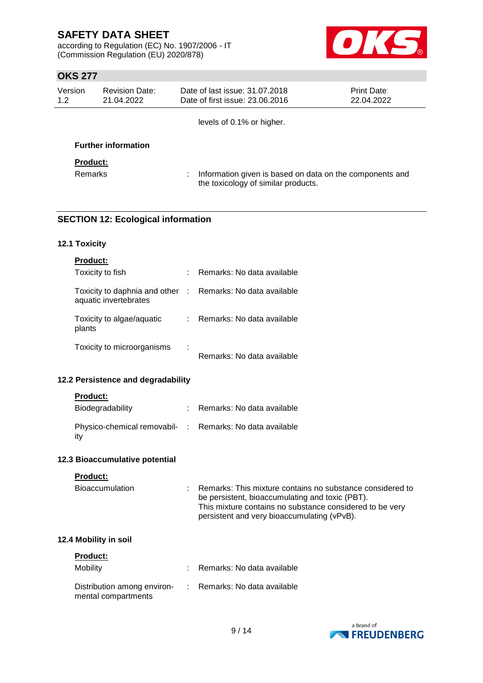according to Regulation (EC) No. 1907/2006 - IT (Commission Regulation (EU) 2020/878)



## **OKS 277**

| Version<br><b>Revision Date:</b><br>1.2<br>21.04.2022 |                            | Date of last issue: 31.07.2018<br>Date of first issue: 23.06.2016                                     | <b>Print Date:</b><br>22.04.2022 |
|-------------------------------------------------------|----------------------------|-------------------------------------------------------------------------------------------------------|----------------------------------|
|                                                       |                            | levels of 0.1% or higher.                                                                             |                                  |
|                                                       | <b>Further information</b> |                                                                                                       |                                  |
| <b>Product:</b>                                       |                            |                                                                                                       |                                  |
| <b>Remarks</b>                                        |                            | Information given is based on data on the components and<br>÷.<br>the toxicology of similar products. |                                  |

### **SECTION 12: Ecological information**

### **12.1 Toxicity**

|                                 | Remarks: No data available |
|---------------------------------|----------------------------|
| Toxicity to daphnia and other : | Remarks: No data available |
|                                 | Remarks: No data available |
| ٠                               | Remarks: No data available |
|                                 |                            |

### **12.2 Persistence and degradability**

### **Product:**

| Biodegradability                                                | : Remarks: No data available |
|-----------------------------------------------------------------|------------------------------|
| Physico-chemical removabil- : Remarks: No data available<br>itv |                              |

### **12.3 Bioaccumulative potential**

#### **Product:**

| <b>Bioaccumulation</b> | : Remarks: This mixture contains no substance considered to<br>be persistent, bioaccumulating and toxic (PBT).<br>This mixture contains no substance considered to be very<br>persistent and very bioaccumulating (vPvB). |
|------------------------|---------------------------------------------------------------------------------------------------------------------------------------------------------------------------------------------------------------------------|
| 12.4 Mobility in soil  |                                                                                                                                                                                                                           |

# **Product:** Mobility : Remarks: No data available Distribution among environ- : Remarks: No data available mental compartments

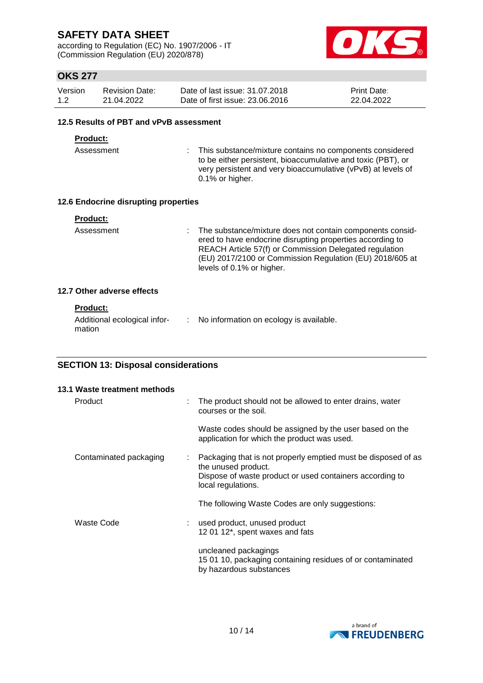according to Regulation (EC) No. 1907/2006 - IT (Commission Regulation (EU) 2020/878)



## **OKS 277**

| Version | Revision Date: | Date of last issue: 31,07,2018  | <b>Print Date:</b> |
|---------|----------------|---------------------------------|--------------------|
| 1.2     | 21.04.2022     | Date of first issue: 23,06,2016 | 22.04.2022         |

#### **12.5 Results of PBT and vPvB assessment**

### **Product:**

Assessment : This substance/mixture contains no components considered to be either persistent, bioaccumulative and toxic (PBT), or very persistent and very bioaccumulative (vPvB) at levels of 0.1% or higher.

### **12.6 Endocrine disrupting properties**

| Product: |  |  |  |  |
|----------|--|--|--|--|
|          |  |  |  |  |

Assessment : The substance/mixture does not contain components considered to have endocrine disrupting properties according to REACH Article 57(f) or Commission Delegated regulation (EU) 2017/2100 or Commission Regulation (EU) 2018/605 at levels of 0.1% or higher.

### **12.7 Other adverse effects**

### **Product:**

| Additional ecological infor- | No information on ecology is available. |
|------------------------------|-----------------------------------------|
| mation                       |                                         |

### **SECTION 13: Disposal considerations**

| 13.1 Waste treatment methods |   |                                                                                                                                                                        |
|------------------------------|---|------------------------------------------------------------------------------------------------------------------------------------------------------------------------|
| Product                      | ÷ | The product should not be allowed to enter drains, water<br>courses or the soil.                                                                                       |
|                              |   | Waste codes should be assigned by the user based on the<br>application for which the product was used.                                                                 |
| Contaminated packaging       | ÷ | Packaging that is not properly emptied must be disposed of as<br>the unused product.<br>Dispose of waste product or used containers according to<br>local regulations. |
|                              |   | The following Waste Codes are only suggestions:                                                                                                                        |
| Waste Code                   |   | used product, unused product<br>12 01 12*, spent waxes and fats                                                                                                        |
|                              |   | uncleaned packagings<br>15 01 10, packaging containing residues of or contaminated<br>by hazardous substances                                                          |

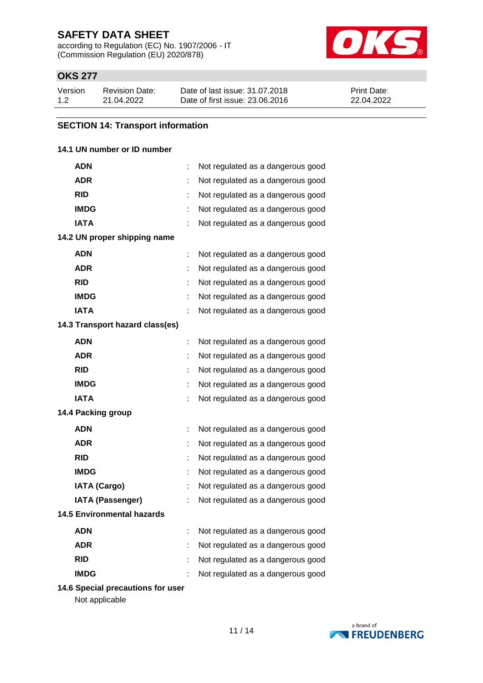according to Regulation (EC) No. 1907/2006 - IT (Commission Regulation (EU) 2020/878)



## **OKS 277**

| Version | Revision Date: | Date of last issue: 31.07.2018  | <b>Print Date:</b> |
|---------|----------------|---------------------------------|--------------------|
| 1.2     | 21.04.2022     | Date of first issue: 23,06,2016 | 22.04.2022         |

### **SECTION 14: Transport information**

### **14.1 UN number or ID number**

| ADN                               | ÷ | Not regulated as a dangerous good |
|-----------------------------------|---|-----------------------------------|
| <b>ADR</b>                        | t | Not regulated as a dangerous good |
| <b>RID</b>                        |   | Not regulated as a dangerous good |
| <b>IMDG</b>                       |   | Not regulated as a dangerous good |
| <b>IATA</b>                       |   | Not regulated as a dangerous good |
| 14.2 UN proper shipping name      |   |                                   |
| <b>ADN</b>                        | t | Not regulated as a dangerous good |
| <b>ADR</b>                        | t | Not regulated as a dangerous good |
| <b>RID</b>                        |   | Not regulated as a dangerous good |
| <b>IMDG</b>                       |   | Not regulated as a dangerous good |
| <b>IATA</b>                       |   | Not regulated as a dangerous good |
| 14.3 Transport hazard class(es)   |   |                                   |
| <b>ADN</b>                        | t | Not regulated as a dangerous good |
| <b>ADR</b>                        |   | Not regulated as a dangerous good |
| <b>RID</b>                        |   | Not regulated as a dangerous good |
| <b>IMDG</b>                       |   | Not regulated as a dangerous good |
| <b>IATA</b>                       |   | Not regulated as a dangerous good |
| 14.4 Packing group                |   |                                   |
| <b>ADN</b>                        | t | Not regulated as a dangerous good |
| <b>ADR</b>                        |   | Not regulated as a dangerous good |
| <b>RID</b>                        |   | Not regulated as a dangerous good |
| <b>IMDG</b>                       | t | Not regulated as a dangerous good |
| <b>IATA (Cargo)</b>               |   | Not regulated as a dangerous good |
| <b>IATA (Passenger)</b>           |   | Not regulated as a dangerous good |
| <b>14.5 Environmental hazards</b> |   |                                   |
| <b>ADN</b>                        | t | Not regulated as a dangerous good |
| <b>ADR</b>                        | t | Not regulated as a dangerous good |
| <b>RID</b>                        |   | Not regulated as a dangerous good |
| <b>IMDG</b>                       |   | Not regulated as a dangerous good |

**14.6 Special precautions for user**

Not applicable

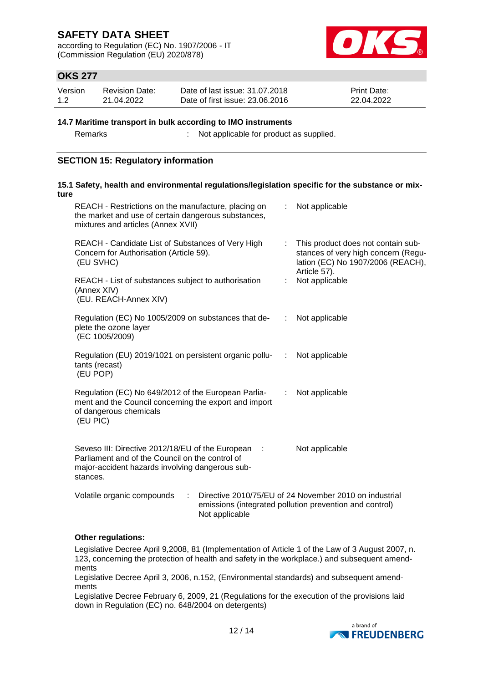according to Regulation (EC) No. 1907/2006 - IT (Commission Regulation (EU) 2020/878)



## **OKS 277**

| Version | <b>Revision Date:</b> | Date of last issue: 31.07.2018  | <b>Print Date:</b> |
|---------|-----------------------|---------------------------------|--------------------|
| 1.2     | 21.04.2022            | Date of first issue: 23,06,2016 | 22.04.2022         |

#### **14.7 Maritime transport in bulk according to IMO instruments**

Remarks : Not applicable for product as supplied.

### **SECTION 15: Regulatory information**

| ture |                                                                                                                                                                      |                |   | 15.1 Safety, health and environmental regulations/legislation specific for the substance or mix-                               |
|------|----------------------------------------------------------------------------------------------------------------------------------------------------------------------|----------------|---|--------------------------------------------------------------------------------------------------------------------------------|
|      | REACH - Restrictions on the manufacture, placing on<br>the market and use of certain dangerous substances,<br>mixtures and articles (Annex XVII)                     |                |   | : Not applicable                                                                                                               |
|      | REACH - Candidate List of Substances of Very High<br>Concern for Authorisation (Article 59).<br>(EU SVHC)                                                            |                | ÷ | This product does not contain sub-<br>stances of very high concern (Regu-<br>lation (EC) No 1907/2006 (REACH),<br>Article 57). |
|      | REACH - List of substances subject to authorisation<br>(Annex XIV)<br>(EU. REACH-Annex XIV)                                                                          |                |   | Not applicable                                                                                                                 |
|      | Regulation (EC) No 1005/2009 on substances that de-<br>plete the ozone layer<br>(EC 1005/2009)                                                                       |                | ÷ | Not applicable                                                                                                                 |
|      | Regulation (EU) 2019/1021 on persistent organic pollu- : Not applicable<br>tants (recast)<br>(EU POP)                                                                |                |   |                                                                                                                                |
|      | Regulation (EC) No 649/2012 of the European Parlia-<br>ment and the Council concerning the export and import<br>of dangerous chemicals<br>(EU PIC)                   |                | ÷ | Not applicable                                                                                                                 |
|      | Seveso III: Directive 2012/18/EU of the European :<br>Parliament and of the Council on the control of<br>major-accident hazards involving dangerous sub-<br>stances. |                |   | Not applicable                                                                                                                 |
|      | Volatile organic compounds<br>÷                                                                                                                                      | Not applicable |   | Directive 2010/75/EU of 24 November 2010 on industrial<br>emissions (integrated pollution prevention and control)              |

### **Other regulations:**

Legislative Decree April 9,2008, 81 (Implementation of Article 1 of the Law of 3 August 2007, n. 123, concerning the protection of health and safety in the workplace.) and subsequent amendments

Legislative Decree April 3, 2006, n.152, (Environmental standards) and subsequent amendments

Legislative Decree February 6, 2009, 21 (Regulations for the execution of the provisions laid down in Regulation (EC) no. 648/2004 on detergents)

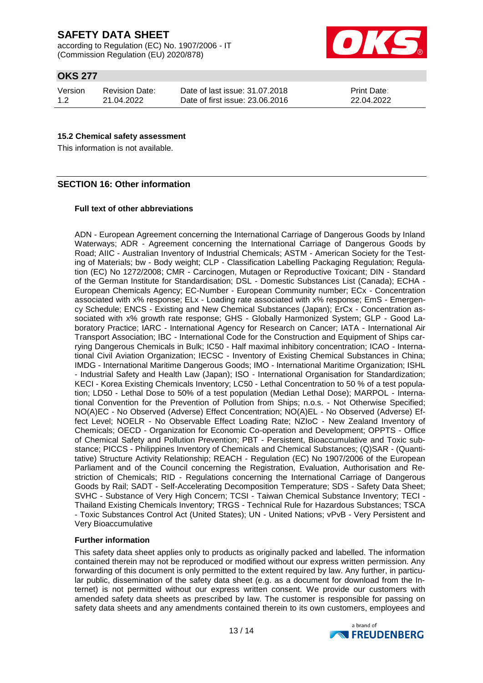according to Regulation (EC) No. 1907/2006 - IT (Commission Regulation (EU) 2020/878)



## **OKS 277**

Version 1.2 Revision Date: 21.04.2022

Date of last issue: 31.07.2018 Date of first issue: 23.06.2016

Print Date: 22.04.2022

### **15.2 Chemical safety assessment**

This information is not available.

### **SECTION 16: Other information**

#### **Full text of other abbreviations**

ADN - European Agreement concerning the International Carriage of Dangerous Goods by Inland Waterways; ADR - Agreement concerning the International Carriage of Dangerous Goods by Road; AIIC - Australian Inventory of Industrial Chemicals; ASTM - American Society for the Testing of Materials; bw - Body weight; CLP - Classification Labelling Packaging Regulation; Regulation (EC) No 1272/2008; CMR - Carcinogen, Mutagen or Reproductive Toxicant; DIN - Standard of the German Institute for Standardisation; DSL - Domestic Substances List (Canada); ECHA - European Chemicals Agency; EC-Number - European Community number; ECx - Concentration associated with x% response; ELx - Loading rate associated with x% response; EmS - Emergency Schedule; ENCS - Existing and New Chemical Substances (Japan); ErCx - Concentration associated with x% growth rate response; GHS - Globally Harmonized System; GLP - Good Laboratory Practice; IARC - International Agency for Research on Cancer; IATA - International Air Transport Association; IBC - International Code for the Construction and Equipment of Ships carrying Dangerous Chemicals in Bulk; IC50 - Half maximal inhibitory concentration; ICAO - International Civil Aviation Organization; IECSC - Inventory of Existing Chemical Substances in China; IMDG - International Maritime Dangerous Goods; IMO - International Maritime Organization; ISHL - Industrial Safety and Health Law (Japan); ISO - International Organisation for Standardization; KECI - Korea Existing Chemicals Inventory; LC50 - Lethal Concentration to 50 % of a test population; LD50 - Lethal Dose to 50% of a test population (Median Lethal Dose); MARPOL - International Convention for the Prevention of Pollution from Ships; n.o.s. - Not Otherwise Specified; NO(A)EC - No Observed (Adverse) Effect Concentration; NO(A)EL - No Observed (Adverse) Effect Level; NOELR - No Observable Effect Loading Rate; NZIoC - New Zealand Inventory of Chemicals; OECD - Organization for Economic Co-operation and Development; OPPTS - Office of Chemical Safety and Pollution Prevention; PBT - Persistent, Bioaccumulative and Toxic substance; PICCS - Philippines Inventory of Chemicals and Chemical Substances; (Q)SAR - (Quantitative) Structure Activity Relationship; REACH - Regulation (EC) No 1907/2006 of the European Parliament and of the Council concerning the Registration, Evaluation, Authorisation and Restriction of Chemicals; RID - Regulations concerning the International Carriage of Dangerous Goods by Rail; SADT - Self-Accelerating Decomposition Temperature; SDS - Safety Data Sheet; SVHC - Substance of Very High Concern; TCSI - Taiwan Chemical Substance Inventory; TECI - Thailand Existing Chemicals Inventory; TRGS - Technical Rule for Hazardous Substances; TSCA - Toxic Substances Control Act (United States); UN - United Nations; vPvB - Very Persistent and Very Bioaccumulative

### **Further information**

This safety data sheet applies only to products as originally packed and labelled. The information contained therein may not be reproduced or modified without our express written permission. Any forwarding of this document is only permitted to the extent required by law. Any further, in particular public, dissemination of the safety data sheet (e.g. as a document for download from the Internet) is not permitted without our express written consent. We provide our customers with amended safety data sheets as prescribed by law. The customer is responsible for passing on safety data sheets and any amendments contained therein to its own customers, employees and